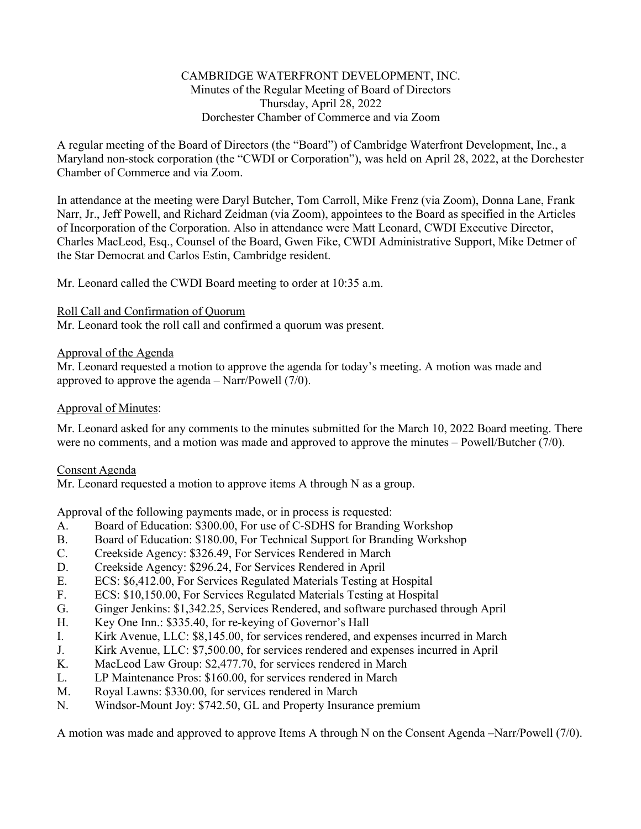# CAMBRIDGE WATERFRONT DEVELOPMENT, INC. Minutes of the Regular Meeting of Board of Directors Thursday, April 28, 2022 Dorchester Chamber of Commerce and via Zoom

A regular meeting of the Board of Directors (the "Board") of Cambridge Waterfront Development, Inc., a Maryland non-stock corporation (the "CWDI or Corporation"), was held on April 28, 2022, at the Dorchester Chamber of Commerce and via Zoom.

In attendance at the meeting were Daryl Butcher, Tom Carroll, Mike Frenz (via Zoom), Donna Lane, Frank Narr, Jr., Jeff Powell, and Richard Zeidman (via Zoom), appointees to the Board as specified in the Articles of Incorporation of the Corporation. Also in attendance were Matt Leonard, CWDI Executive Director, Charles MacLeod, Esq., Counsel of the Board, Gwen Fike, CWDI Administrative Support, Mike Detmer of the Star Democrat and Carlos Estin, Cambridge resident.

Mr. Leonard called the CWDI Board meeting to order at 10:35 a.m.

# Roll Call and Confirmation of Quorum

Mr. Leonard took the roll call and confirmed a quorum was present.

# Approval of the Agenda

Mr. Leonard requested a motion to approve the agenda for today's meeting. A motion was made and approved to approve the agenda – Narr/Powell (7/0).

# Approval of Minutes:

Mr. Leonard asked for any comments to the minutes submitted for the March 10, 2022 Board meeting. There were no comments, and a motion was made and approved to approve the minutes – Powell/Butcher (7/0).

# Consent Agenda

Mr. Leonard requested a motion to approve items A through N as a group.

Approval of the following payments made, or in process is requested:

- A. Board of Education: \$300.00, For use of C-SDHS for Branding Workshop
- B. Board of Education: \$180.00, For Technical Support for Branding Workshop
- C. Creekside Agency: \$326.49, For Services Rendered in March
- D. Creekside Agency: \$296.24, For Services Rendered in April
- E. ECS: \$6,412.00, For Services Regulated Materials Testing at Hospital
- F. ECS: \$10,150.00, For Services Regulated Materials Testing at Hospital
- G. Ginger Jenkins: \$1,342.25, Services Rendered, and software purchased through April
- H. Key One Inn.: \$335.40, for re-keying of Governor's Hall
- I. Kirk Avenue, LLC: \$8,145.00, for services rendered, and expenses incurred in March
- J. Kirk Avenue, LLC: \$7,500.00, for services rendered and expenses incurred in April
- K. MacLeod Law Group: \$2,477.70, for services rendered in March
- L. LP Maintenance Pros: \$160.00, for services rendered in March
- M. Royal Lawns: \$330.00, for services rendered in March
- N. Windsor-Mount Joy: \$742.50, GL and Property Insurance premium

A motion was made and approved to approve Items A through N on the Consent Agenda –Narr/Powell (7/0).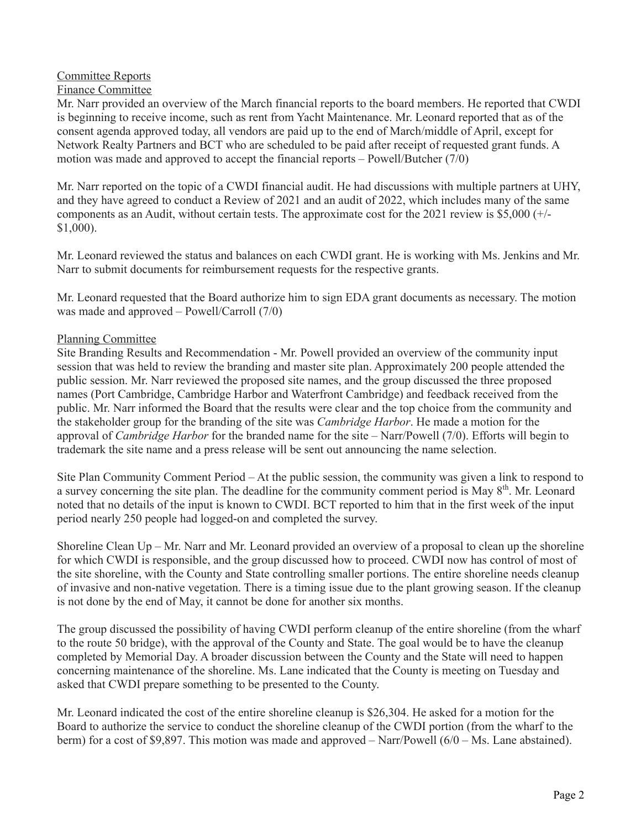# Committee Reports

# Finance Committee

Mr. Narr provided an overview of the March financial reports to the board members. He reported that CWDI is beginning to receive income, such as rent from Yacht Maintenance. Mr. Leonard reported that as of the consent agenda approved today, all vendors are paid up to the end of March/middle of April, except for Network Realty Partners and BCT who are scheduled to be paid after receipt of requested grant funds. A motion was made and approved to accept the financial reports – Powell/Butcher (7/0)

Mr. Narr reported on the topic of a CWDI financial audit. He had discussions with multiple partners at UHY, and they have agreed to conduct a Review of 2021 and an audit of 2022, which includes many of the same components as an Audit, without certain tests. The approximate cost for the 2021 review is \$5,000 (+/- \$1,000).

Mr. Leonard reviewed the status and balances on each CWDI grant. He is working with Ms. Jenkins and Mr. Narr to submit documents for reimbursement requests for the respective grants.

Mr. Leonard requested that the Board authorize him to sign EDA grant documents as necessary. The motion was made and approved – Powell/Carroll (7/0)

# Planning Committee

Site Branding Results and Recommendation - Mr. Powell provided an overview of the community input session that was held to review the branding and master site plan. Approximately 200 people attended the public session. Mr. Narr reviewed the proposed site names, and the group discussed the three proposed names (Port Cambridge, Cambridge Harbor and Waterfront Cambridge) and feedback received from the public. Mr. Narr informed the Board that the results were clear and the top choice from the community and the stakeholder group for the branding of the site was *Cambridge Harbor*. He made a motion for the approval of *Cambridge Harbor* for the branded name for the site – Narr/Powell (7/0). Efforts will begin to trademark the site name and a press release will be sent out announcing the name selection.

Site Plan Community Comment Period – At the public session, the community was given a link to respond to a survey concerning the site plan. The deadline for the community comment period is May 8<sup>th</sup>. Mr. Leonard noted that no details of the input is known to CWDI. BCT reported to him that in the first week of the input period nearly 250 people had logged-on and completed the survey.

Shoreline Clean  $Up - Mr$ . Narr and Mr. Leonard provided an overview of a proposal to clean up the shoreline for which CWDI is responsible, and the group discussed how to proceed. CWDI now has control of most of the site shoreline, with the County and State controlling smaller portions. The entire shoreline needs cleanup of invasive and non-native vegetation. There is a timing issue due to the plant growing season. If the cleanup is not done by the end of May, it cannot be done for another six months.

The group discussed the possibility of having CWDI perform cleanup of the entire shoreline (from the wharf to the route 50 bridge), with the approval of the County and State. The goal would be to have the cleanup completed by Memorial Day. A broader discussion between the County and the State will need to happen concerning maintenance of the shoreline. Ms. Lane indicated that the County is meeting on Tuesday and asked that CWDI prepare something to be presented to the County.

Mr. Leonard indicated the cost of the entire shoreline cleanup is \$26,304. He asked for a motion for the Board to authorize the service to conduct the shoreline cleanup of the CWDI portion (from the wharf to the berm) for a cost of \$9,897. This motion was made and approved – Narr/Powell (6/0 – Ms. Lane abstained).